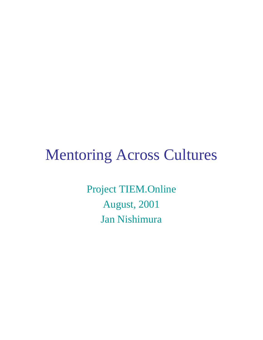# Mentoring Across Cultures

Project TIEM.Online August, 2001 Jan Nishimura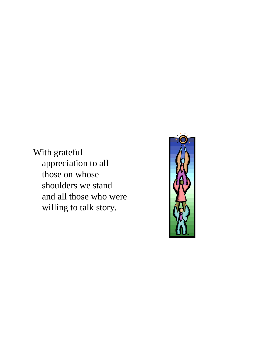With grateful appreciation to all those on whose shoulders we stand and all those who were willing to talk story.

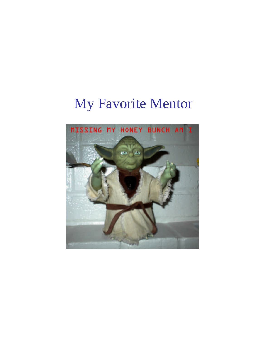# My Favorite Mentor

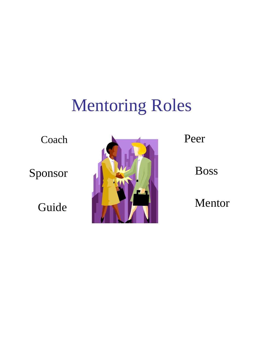# Mentoring Roles

Coach

Sponsor

Guide



Peer

Boss

Mentor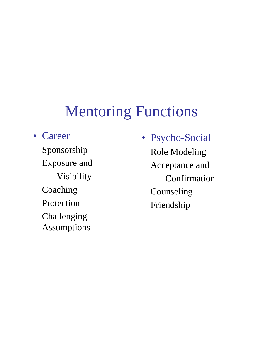#### **Mentoring Functions**

• Career

Sponsorship Exposure and Visibility Coaching Protection Challenging Assumptions

• Psycho-Social Role Modeling Acceptance and Confirmation Counseling Friendship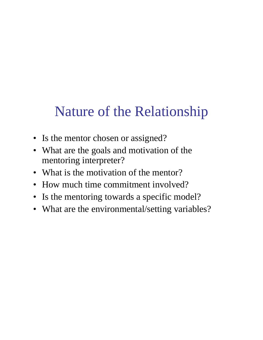### Nature of the Relationship

- Is the mentor chosen or assigned?
- What are the goals and motivation of the mentoring interpreter?
- What is the motivation of the mentor?
- How much time commitment involved?
- Is the mentoring towards a specific model?
- What are the environmental/setting variables?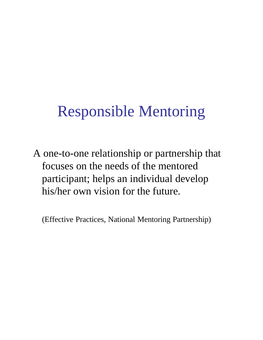# Responsible Mentoring

A one-to-one relationship or partnership that focuses on the needs of the mentored participant; helps an individual develop his/her own vision for the future.

(Effective Practices, National Mentoring Partnership)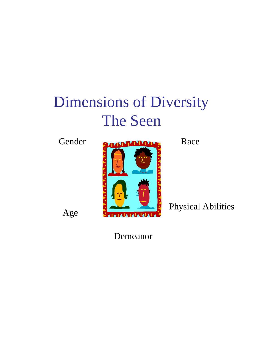# Dimensions of Diversity The Seen

Age



Physical Abilities

Demeanor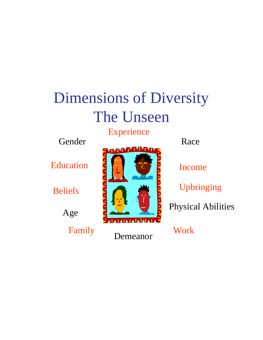# Dimensions of Diversity The Unseen

Experience

Gender Race

Education

Beliefs

Age

Family Reserve Work



Demeanor

Income

Upbringing

Physical Abilities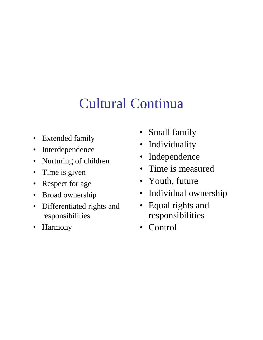# Cultural Continua

- Extended family
- Interdependence
- Nurturing of children
- Time is given
- Respect for age
- Broad ownership
- Differentiated rights and responsibilities
- Harmony
- Small family
- Individuality
- Independence
- Time is measured
- Youth, future
- Individual ownership
- Equal rights and responsibilities
- Control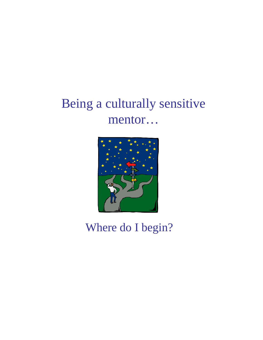#### Being a culturally sensitive mentor…



Where do I begin?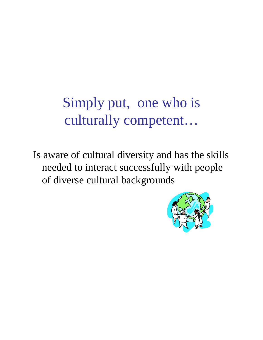# Simply put, one who is culturally competent…

Is aware of cultural diversity and has the skills needed to interact successfully with people of diverse cultural backgrounds

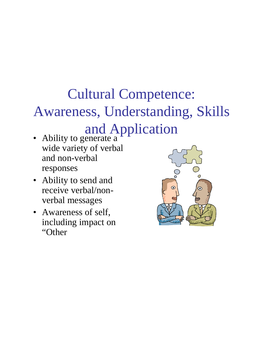# Cultural Competence: Awareness, Understanding, Skills

### and Application

- Ability to generate a wide variety of verbal and non-verbal responses
- Ability to send and receive verbal/nonverbal messages
- Awareness of self, including impact on "Other

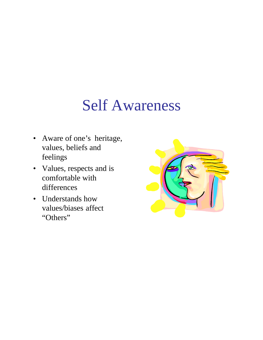# Self Awareness

- Aware of one's heritage, values, beliefs and feelings
- Values, respects and is comfortable with differences
- Understands how values/biases affect "Others"

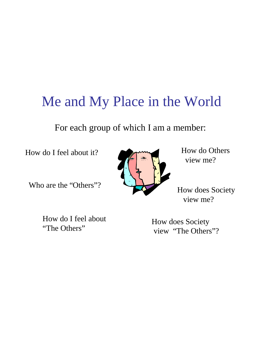#### Me and My Place in the World

For each group of which I am a member:

How do I feel about it?

Who are the "Others"?

How do Others view me?

How does Society view me?

How do I feel about "The Others"

How does Society view "The Others"?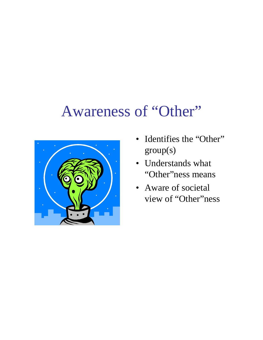#### Awareness of "Other"



- Identifies the "Other" group(s)
- Understands what "Other"ness means
- Aware of societal view of "Other"ness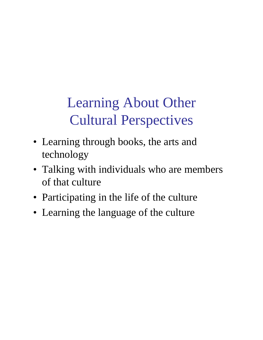# Learning About Other Cultural Perspectives

- Learning through books, the arts and technology
- Talking with individuals who are members of that culture
- Participating in the life of the culture
- Learning the language of the culture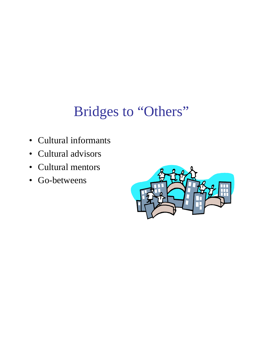### Bridges to "Others"

- Cultural informants
- Cultural advisors
- Cultural mentors
- Go-betweens

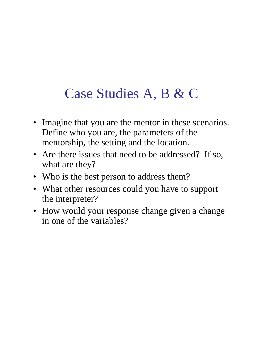# Case Studies A, B & C

- Imagine that you are the mentor in these scenarios. Define who you are, the parameters of the mentorship, the setting and the location.
- Are there issues that need to be addressed? If so, what are they?
- Who is the best person to address them?
- What other resources could you have to support the interpreter?
- How would your response change given a change in one of the variables?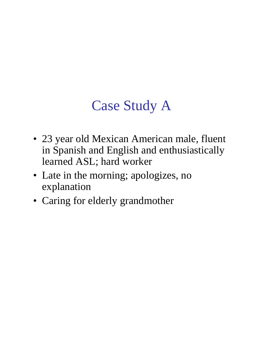## Case Study A

- 23 year old Mexican American male, fluent in Spanish and English and enthusiastically learned ASL; hard worker
- Late in the morning; apologizes, no explanation
- Caring for elderly grandmother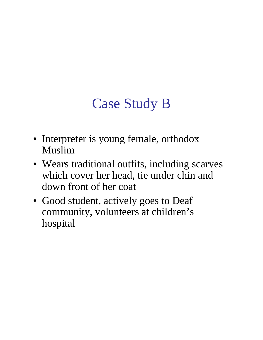# Case Study B

- Interpreter is young female, orthodox Muslim
- Wears traditional outfits, including scarves which cover her head, tie under chin and down front of her coat
- Good student, actively goes to Deaf community, volunteers at children's hospital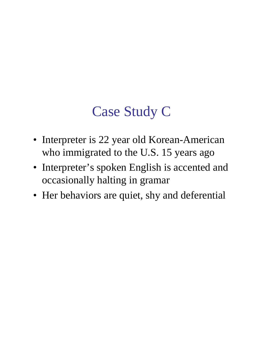### Case Study C

- Interpreter is 22 year old Korean-American who immigrated to the U.S. 15 years ago
- Interpreter's spoken English is accented and occasionally halting in gramar
- Her behaviors are quiet, shy and deferential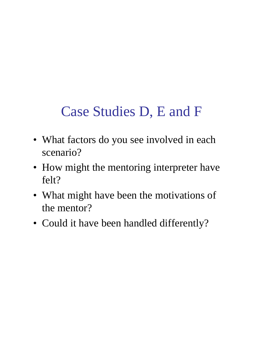### Case Studies D, E and F

- What factors do you see involved in each scenario?
- How might the mentoring interpreter have felt?
- What might have been the motivations of the mentor?
- Could it have been handled differently?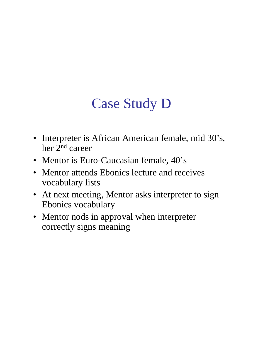### Case Study D

- Interpreter is African American female, mid 30's, her 2nd career
- Mentor is Euro-Caucasian female,  $40$ 's
- Mentor attends Ebonics lecture and receives vocabulary lists
- At next meeting, Mentor asks interpreter to sign Ebonics vocabulary
- Mentor nods in approval when interpreter correctly signs meaning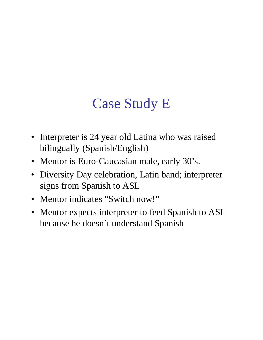### Case Study E

- Interpreter is 24 year old Latina who was raised bilingually (Spanish/English)
- Mentor is Euro-Caucasian male, early 30's.
- Diversity Day celebration, Latin band; interpreter signs from Spanish to ASL
- Mentor indicates "Switch now!"
- Mentor expects interpreter to feed Spanish to ASL because he doesn't understand Spanish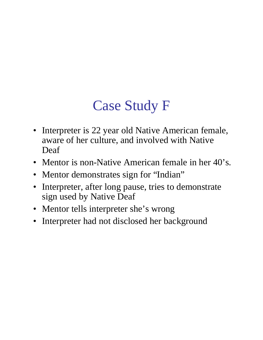# Case Study F

- Interpreter is 22 year old Native American female, aware of her culture, and involved with Native Deaf
- Mentor is non-Native American female in her 40's.
- Mentor demonstrates sign for "Indian"
- Interpreter, after long pause, tries to demonstrate sign used by Native Deaf
- Mentor tells interpreter she's wrong
- Interpreter had not disclosed her background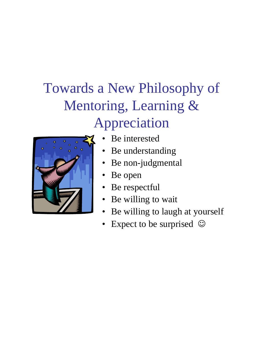# Towards a New Philosophy of Mentoring, Learning & Appreciation



- Be interested
- Be understanding
- Be non-judgmental
- Be open
- Be respectful
- Be willing to wait
- Be willing to laugh at yourself
- Expect to be surprised  $\odot$